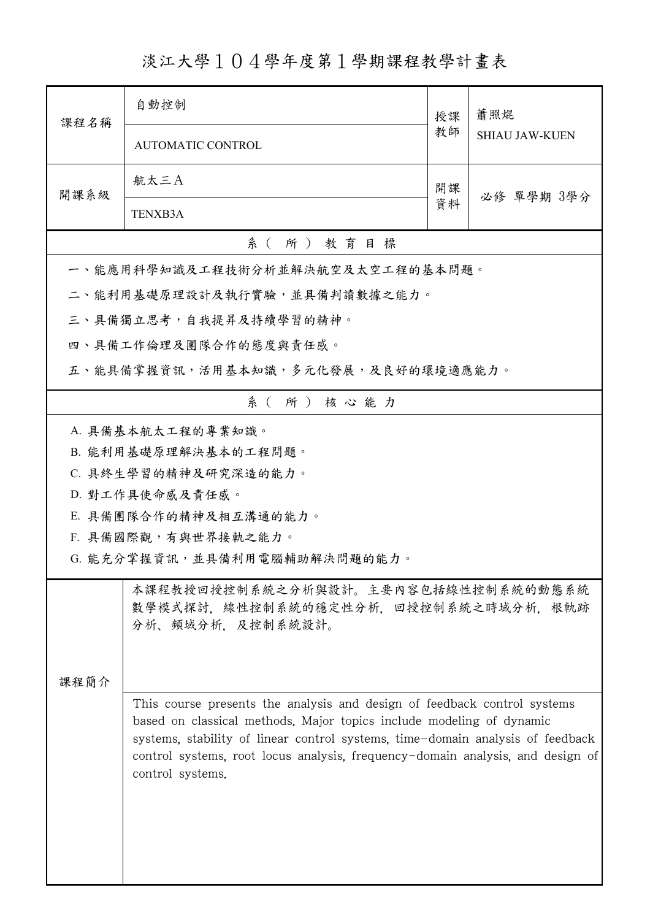淡江大學104學年度第1學期課程教學計畫表

| 課程名稱                                                                                                                                                                 | 自動控制                                                                                                                                                                                                                                                                                                                                     | 授課 | 蕭照焜<br><b>SHIAU JAW-KUEN</b> |  |  |  |
|----------------------------------------------------------------------------------------------------------------------------------------------------------------------|------------------------------------------------------------------------------------------------------------------------------------------------------------------------------------------------------------------------------------------------------------------------------------------------------------------------------------------|----|------------------------------|--|--|--|
|                                                                                                                                                                      | <b>AUTOMATIC CONTROL</b>                                                                                                                                                                                                                                                                                                                 | 教師 |                              |  |  |  |
| 開課系級                                                                                                                                                                 | 航太三A                                                                                                                                                                                                                                                                                                                                     | 開課 | 必修 單學期 3學分                   |  |  |  |
|                                                                                                                                                                      | <b>TENXB3A</b>                                                                                                                                                                                                                                                                                                                           | 資料 |                              |  |  |  |
| 系(所)教育目標                                                                                                                                                             |                                                                                                                                                                                                                                                                                                                                          |    |                              |  |  |  |
|                                                                                                                                                                      | 一、能應用科學知識及工程技術分析並解決航空及太空工程的基本問題。                                                                                                                                                                                                                                                                                                         |    |                              |  |  |  |
|                                                                                                                                                                      | 二、能利用基礎原理設計及執行實驗,並具備判讀數據之能力。                                                                                                                                                                                                                                                                                                             |    |                              |  |  |  |
|                                                                                                                                                                      | 三、具備獨立思考,自我提昇及持續學習的精神。                                                                                                                                                                                                                                                                                                                   |    |                              |  |  |  |
|                                                                                                                                                                      | 四、具備工作倫理及團隊合作的態度與責任感。                                                                                                                                                                                                                                                                                                                    |    |                              |  |  |  |
|                                                                                                                                                                      | 五、能具備掌握資訊,活用基本知識,多元化發展,及良好的環境適應能力。                                                                                                                                                                                                                                                                                                       |    |                              |  |  |  |
|                                                                                                                                                                      | 系(所)核心能力                                                                                                                                                                                                                                                                                                                                 |    |                              |  |  |  |
| A. 具備基本航太工程的專業知識。<br>B. 能利用基礎原理解決基本的工程問題。<br>C. 具終生學習的精神及研究深造的能力。<br>D. 對工作具使命感及責任感。<br>E. 具備團隊合作的精神及相互溝通的能力。<br>F. 具備國際觀,有與世界接軌之能力。<br>G. 能充分掌握資訊,並具備利用電腦輔助解決問題的能力。 |                                                                                                                                                                                                                                                                                                                                          |    |                              |  |  |  |
| 本課程教授回授控制系統之分析與設計。主要內容包括線性控制系統的動態系統<br>數學模式探討,線性控制系統的穩定性分析,回授控制系統之時域分析,根軌跡<br>分析、頻域分析、及控制系統設計。<br>課程簡介                                                               |                                                                                                                                                                                                                                                                                                                                          |    |                              |  |  |  |
|                                                                                                                                                                      | This course presents the analysis and design of feedback control systems<br>based on classical methods. Major topics include modeling of dynamic<br>systems, stability of linear control systems, time-domain analysis of feedback<br>control systems, root locus analysis, frequency-domain analysis, and design of<br>control systems. |    |                              |  |  |  |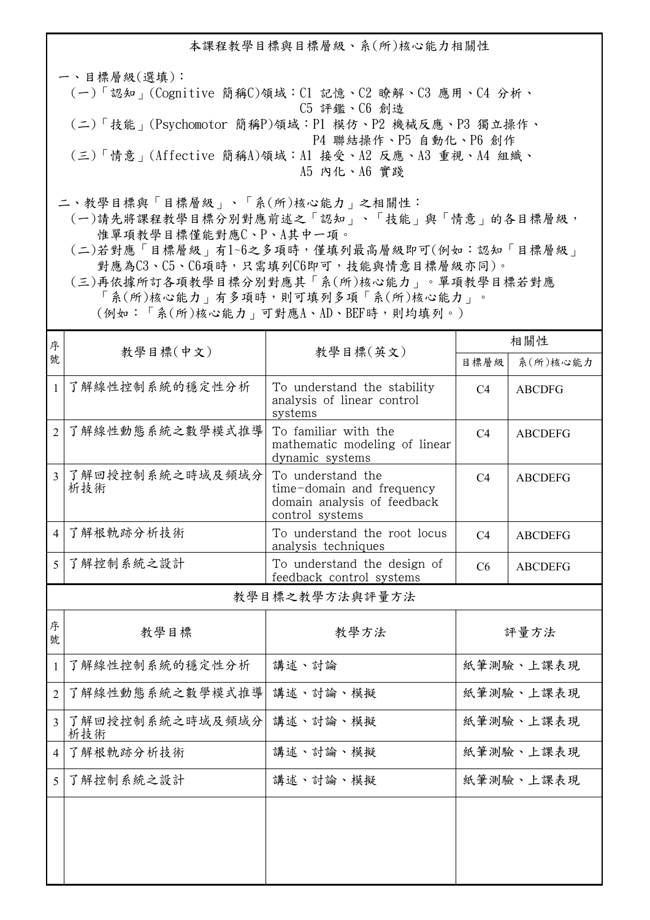本課程教學目標與目標層級、系(所)核心能力相關性

一、目標層級(選填): (一)「認知」(Cognitive 簡稱C)領域:C1 記憶、C2 瞭解、C3 應用、C4 分析、 C5 評鑑、C6 創造 (二)「技能」(Psychomotor 簡稱P)領域:P1 模仿、P2 機械反應、P3 獨立操作、 P4 聯結操作、P5 自動化、P6 創作 (三)「情意」(Affective 簡稱A)領域:A1 接受、A2 反應、A3 重視、A4 組織、 A5 內化、A6 實踐

二、教學目標與「目標層級」、「系(所)核心能力」之相關性:

 (一)請先將課程教學目標分別對應前述之「認知」、「技能」與「情意」的各目標層級, 惟單項教學目標僅能對應C、P、A其中一項。

 (二)若對應「目標層級」有1~6之多項時,僅填列最高層級即可(例如:認知「目標層級」 對應為C3、C5、C6項時,只需填列C6即可,技能與情意目標層級亦同)。

 (三)再依據所訂各項教學目標分別對應其「系(所)核心能力」。單項教學目標若對應 「系(所)核心能力」有多項時,則可填列多項「系(所)核心能力」。

(例如:「系(所)核心能力」可對應A、AD、BEF時,則均填列。)

| 序              |                        | 教學目標(中文)<br>教學目標(英文)                                                                             | 相關性            |                |  |  |
|----------------|------------------------|--------------------------------------------------------------------------------------------------|----------------|----------------|--|--|
| 號              |                        |                                                                                                  | 目標層級           | 系(所)核心能力       |  |  |
| $\mathbf{1}$   | 了解線性控制系統的穩定性分析         | To understand the stability<br>analysis of linear control<br>systems                             | C <sub>4</sub> | <b>ABCDFG</b>  |  |  |
| $\overline{2}$ | 了解線性動態系統之數學模式推導        | To familiar with the<br>mathematic modeling of linear<br>dynamic systems                         | C <sub>4</sub> | <b>ABCDEFG</b> |  |  |
| $\overline{3}$ | 了解回授控制系統之時域及頻域分<br>析技術 | To understand the<br>time-domain and frequency<br>domain analysis of feedback<br>control systems | C <sub>4</sub> | <b>ABCDEFG</b> |  |  |
| $\overline{4}$ | 了解根軌跡分析技術              | To understand the root locus<br>analysis techniques                                              | C <sub>4</sub> | <b>ABCDEFG</b> |  |  |
| 5              | 了解控制系統之設計              | To understand the design of<br>feedback control systems                                          | C <sub>6</sub> | <b>ABCDEFG</b> |  |  |
|                | 教學目標之教學方法與評量方法         |                                                                                                  |                |                |  |  |
| 序<br>號         | 教學目標                   | 教學方法                                                                                             | 評量方法           |                |  |  |
| 1              | 了解線性控制系統的穩定性分析         | 講述、討論                                                                                            | 紙筆測驗、上課表現      |                |  |  |
| $\overline{2}$ | 了解線性動態系統之數學模式推導        | 講述、討論、模擬                                                                                         | 紙筆測驗、上課表現      |                |  |  |
| $\overline{3}$ | 了解回授控制系統之時域及頻域分<br>析技術 | 講述、討論、模擬                                                                                         | 紙筆測驗、上課表現      |                |  |  |
| 4              | 了解根軌跡分析技術              | 講述、討論、模擬                                                                                         | 紙筆測驗、上課表現      |                |  |  |
| 5              | 了解控制系統之設計              | 講述、討論、模擬                                                                                         | 紙筆測驗、上課表現      |                |  |  |
|                |                        |                                                                                                  |                |                |  |  |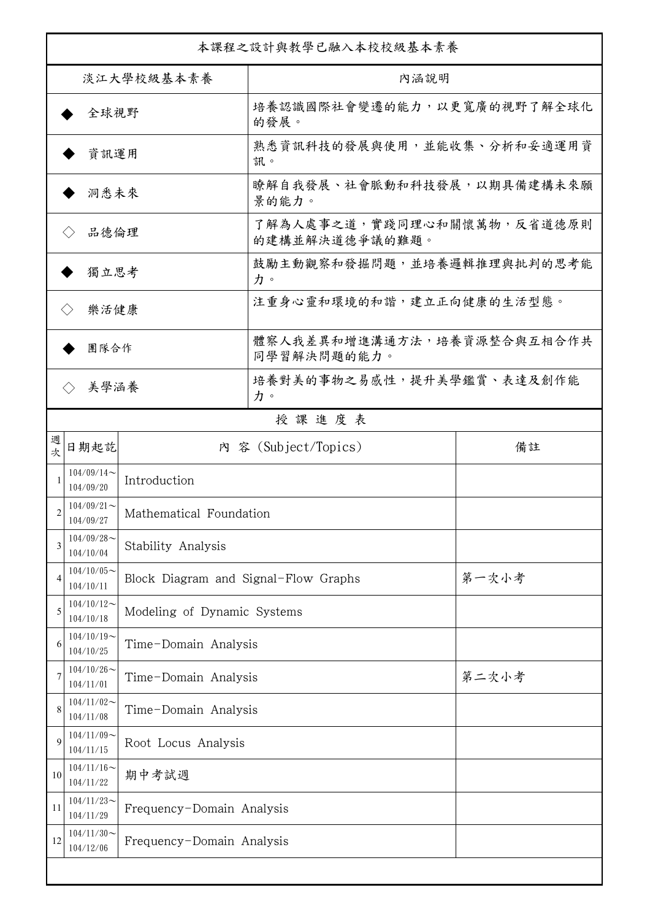| 本課程之設計與教學已融入本校校級基本素養      |                                                         |                                      |                                              |       |  |
|---------------------------|---------------------------------------------------------|--------------------------------------|----------------------------------------------|-------|--|
| 淡江大學校級基本素養                |                                                         |                                      | 內涵說明                                         |       |  |
| 全球視野                      |                                                         |                                      | 培養認識國際社會變遷的能力,以更寬廣的視野了解全球化<br>的發展。           |       |  |
| 資訊運用                      |                                                         |                                      | 熟悉資訊科技的發展與使用,並能收集、分析和妥適運用資<br>訊。             |       |  |
| 洞悉未來                      |                                                         |                                      | 瞭解自我發展、社會脈動和科技發展,以期具備建構未來願<br>景的能力。          |       |  |
| 品德倫理                      |                                                         |                                      | 了解為人處事之道,實踐同理心和關懷萬物,反省道德原則<br>的建構並解決道德爭議的難題。 |       |  |
| 獨立思考                      |                                                         |                                      | 鼓勵主動觀察和發掘問題,並培養邏輯推理與批判的思考能<br>力。             |       |  |
| 樂活健康                      |                                                         |                                      | 注重身心靈和環境的和諧,建立正向健康的生活型態。                     |       |  |
| 團隊合作                      |                                                         |                                      | 體察人我差異和增進溝通方法,培養資源整合與互相合作共<br>同學習解決問題的能力。    |       |  |
| 美學涵養<br>$\langle \rangle$ |                                                         |                                      | 培養對美的事物之易感性,提升美學鑑賞、表達及創作能<br>力。              |       |  |
|                           |                                                         |                                      | 授課進度表                                        |       |  |
| 週<br>欤                    | 日期起訖                                                    |                                      | 內 容 (Subject/Topics)                         | 備註    |  |
| 1                         | $104/09/14$ ~<br>Introduction<br>104/09/20              |                                      |                                              |       |  |
| 2                         | $104/09/21$ ~<br>Mathematical Foundation<br>104/09/27   |                                      |                                              |       |  |
| 3                         | $104/09/28$ ~<br>104/10/04                              | Stability Analysis                   |                                              |       |  |
| $\overline{4}$            | $104/10/05$ ~<br>104/10/11                              | Block Diagram and Signal-Flow Graphs |                                              | 第一次小考 |  |
| 5                         | $104/10/12$ ~<br>104/10/18                              | Modeling of Dynamic Systems          |                                              |       |  |
| 6                         | $104/10/19$ ~<br>104/10/25                              | Time-Domain Analysis                 |                                              |       |  |
| 7                         | $104/10/26$ ~<br>104/11/01                              | Time-Domain Analysis                 |                                              | 第二次小考 |  |
| 8                         | $104/11/02$ ~<br>104/11/08                              | Time-Domain Analysis                 |                                              |       |  |
| 9                         | $104/11/09$ ~<br>104/11/15                              | Root Locus Analysis                  |                                              |       |  |
| 10                        | $104/11/16$ ~<br>104/11/22                              | 期中考試週                                |                                              |       |  |
| 11                        | $104/11/23$ ~<br>104/11/29                              | Frequency-Domain Analysis            |                                              |       |  |
| 12                        | $104/11/30$ ~<br>Frequency-Domain Analysis<br>104/12/06 |                                      |                                              |       |  |
|                           |                                                         |                                      |                                              |       |  |